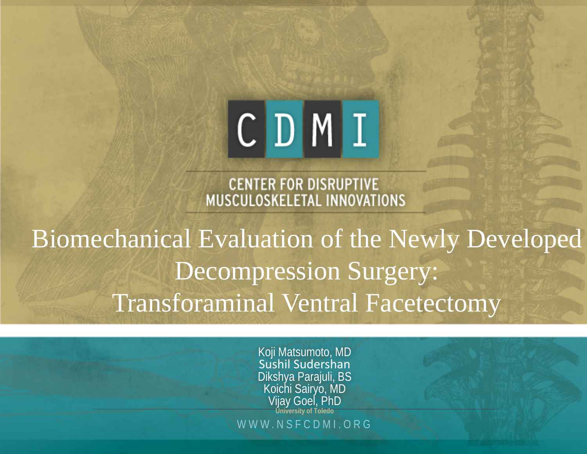## CDMI

**CENTER FOR DISRUPTIVE** MUSCULOSKELETAL INNOVATIONS

Biomechanical Evaluation of the Newly Developed Decompression Surgery: Transforaminal Ventral Facetectomy

> WWW.NSFCDMI.ORG Koji Matsumoto, MD Sushil Sudershan Dikshya Parajuli, BS Koichi Sairyo, MD Vijay Goel, PhD **University of Toledo**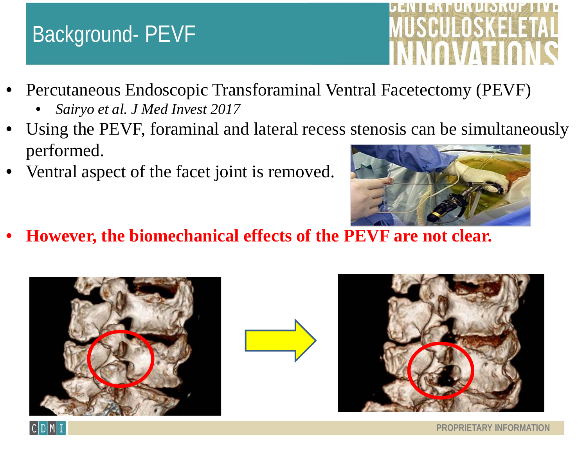#### Background- PEVF

- 
- Percutaneous Endoscopic Transforaminal Ventral Facetectomy (PEVF)
	- *Sairyo et al. J Med Invest 2017*
- Using the PEVF, foraminal and lateral recess stenosis can be simultaneously performed.
- Ventral aspect of the facet joint is removed.



• **However, the biomechanical effects of the PEVF are not clear.**





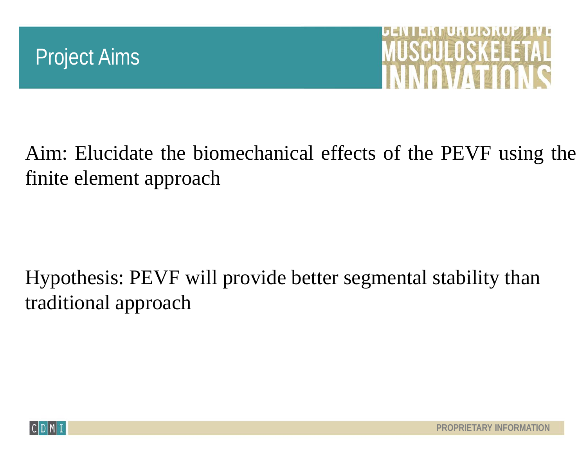



Aim: Elucidate the biomechanical effects of the PEVF using the finite element approach

Hypothesis: PEVF will provide better segmental stability than traditional approach

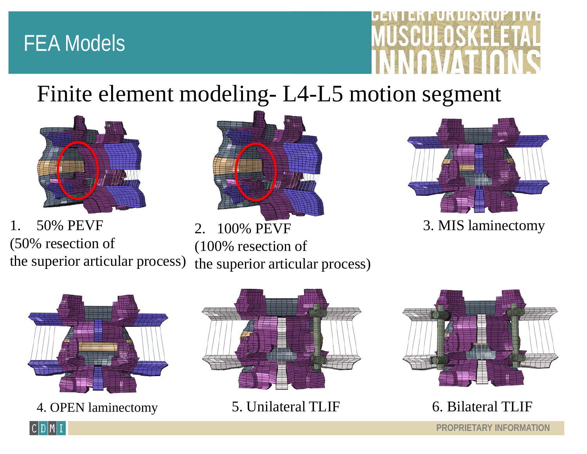#### FEA Models

# **EIRKEES**

#### Finite element modeling- L4-L5 motion segment



1. 50% PEVF (50% resection of the superior articular process)



2. 100% PEVF (100% resection of the superior articular process)



3. MIS laminectomy



4. OPEN laminectomy 5. Unilateral TLIF 6. Bilateral TLIF





**PROPRIETARY INFORMATION**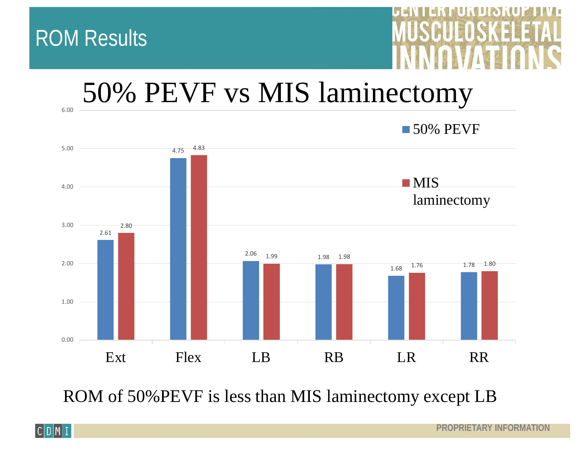

ROM of 50%PEVF is less than MIS laminectomy except LB

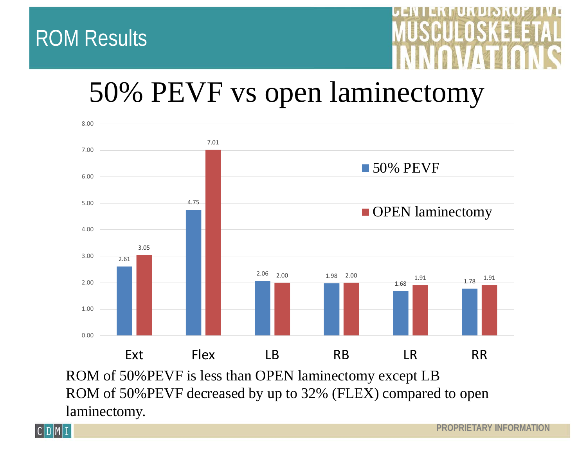

### 50% PEVF vs open laminectomy



ROM of 50%PEVF is less than OPEN laminectomy except LB ROM of 50%PEVF decreased by up to 32% (FLEX) compared to open laminectomy.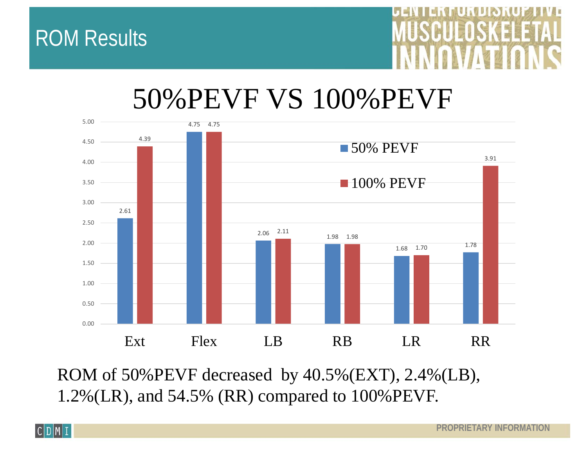ROM Results

### 50%PEVF VS 100%PEVF



ROM of 50%PEVF decreased by 40.5%(EXT), 2.4%(LB), 1.2%(LR), and 54.5% (RR) compared to 100%PEVF.

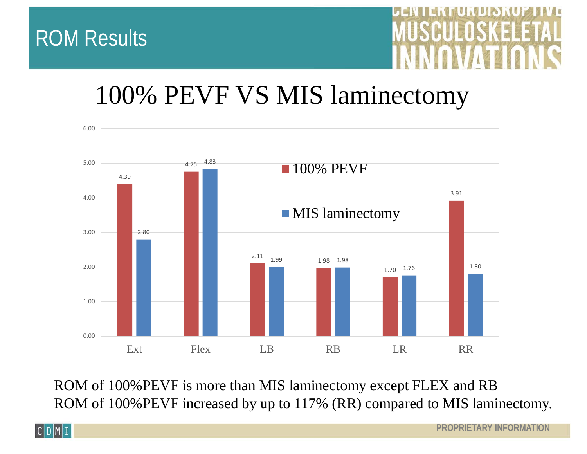

#### 100% PEVF VS MIS laminectomy



ROM of 100%PEVF is more than MIS laminectomy except FLEX and RB ROM of 100%PEVF increased by up to 117% (RR) compared to MIS laminectomy.

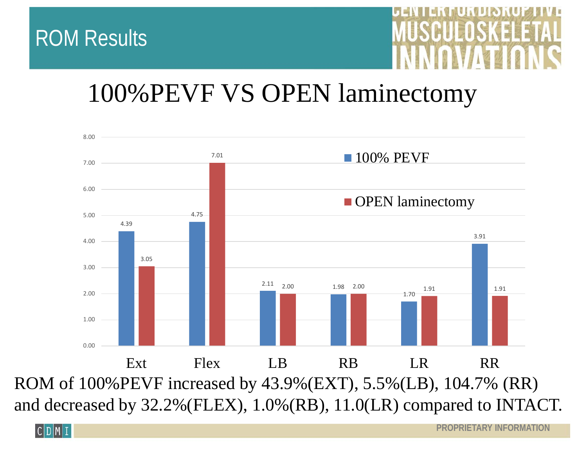

### 100%PEVF VS OPEN laminectomy



ROM of 100%PEVF increased by 43.9%(EXT), 5.5%(LB), 104.7% (RR) and decreased by 32.2%(FLEX), 1.0%(RB), 11.0(LR) compared to INTACT.

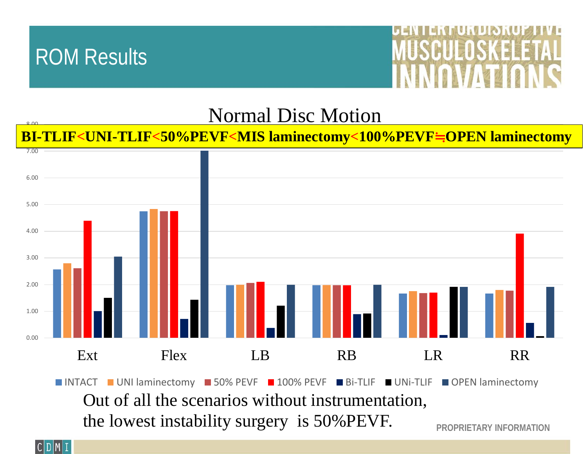

 $0.00$ 



#### Normal Disc Motion

#### **BI-TLIF<UNI-TLIF<50%PEVF<MIS laminectomy<100%PEVF**≒**OPEN laminectomy**



the lowest instability surgery is 50%PEVF.

**PROPRIETARY INFORMATION** 

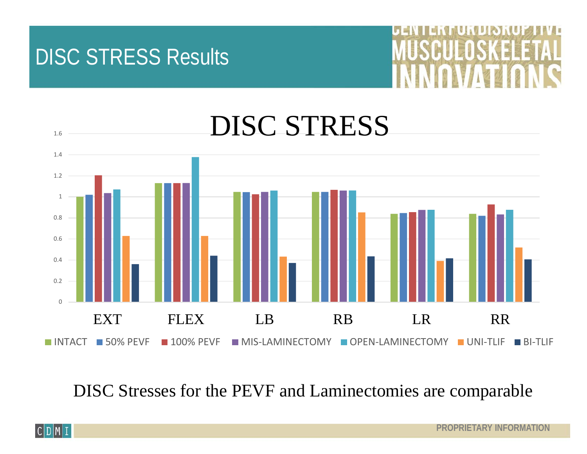#### DISC STRESS Results





DISC Stresses for the PEVF and Laminectomies are comparable

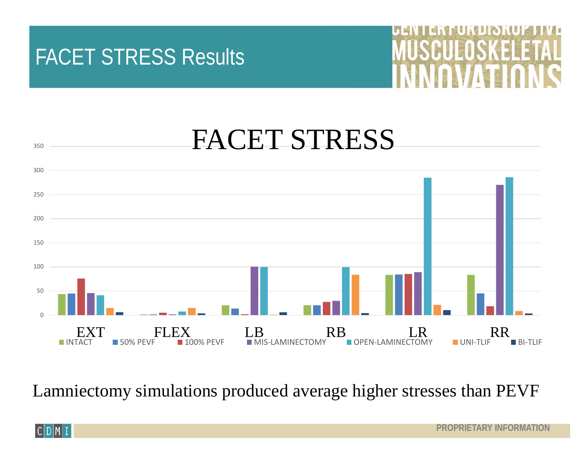#### FACET STRESS Results





Lamniectomy simulations produced average higher stresses than PEVF

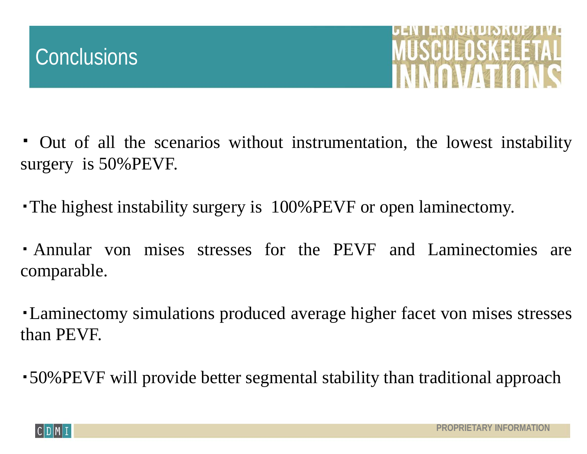



- ・ Out of all the scenarios without instrumentation, the lowest instability surgery is 50%PEVF.
- ・The highest instability surgery is 100%PEVF or open laminectomy.
- ・ Annular von mises stresses for the PEVF and Laminectomies are comparable.
- ・Laminectomy simulations produced average higher facet von mises stresses than PEVF.
- ・50%PEVF will provide better segmental stability than traditional approach

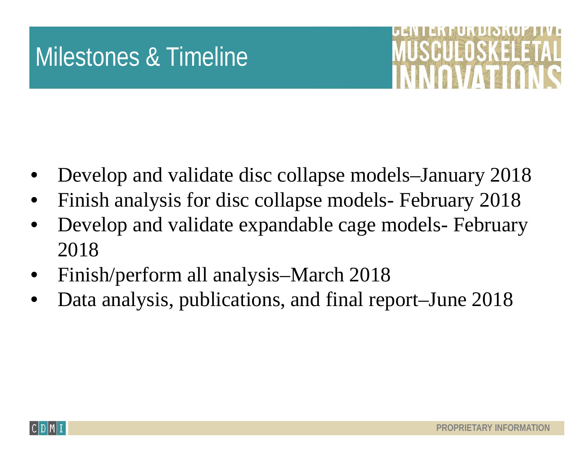### Milestones & Timeline



- Develop and validate disc collapse models–January 2018
- Finish analysis for disc collapse models- February 2018
- Develop and validate expandable cage models- February 2018
- Finish/perform all analysis–March 2018
- Data analysis, publications, and final report–June 2018